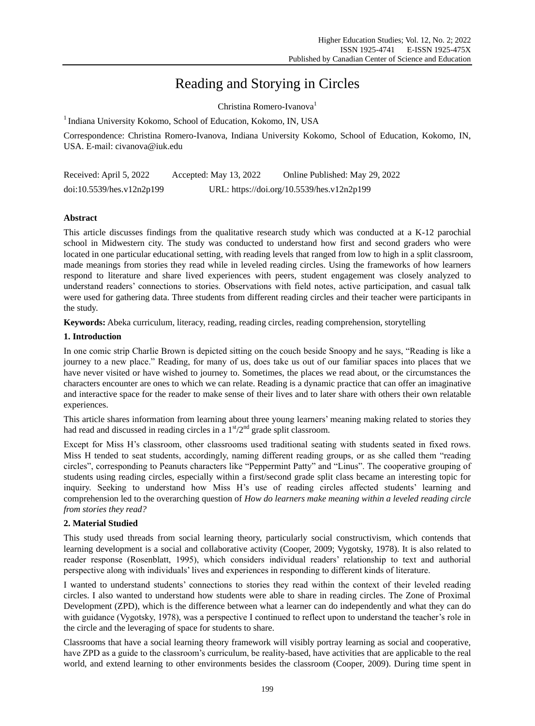# Reading and Storying in Circles

Christina Romero-Ivanova<sup>1</sup>

<sup>1</sup> Indiana University Kokomo, School of Education, Kokomo, IN, USA

Correspondence: Christina Romero-Ivanova, Indiana University Kokomo, School of Education, Kokomo, IN, USA. E-mail: civanova@iuk.edu

| Received: April 5, 2022   | Accepted: May 13, 2022 | Online Published: May 29, 2022             |
|---------------------------|------------------------|--------------------------------------------|
| doi:10.5539/hes.v12n2p199 |                        | URL: https://doi.org/10.5539/hes.v12n2p199 |

# **Abstract**

This article discusses findings from the qualitative research study which was conducted at a K-12 parochial school in Midwestern city. The study was conducted to understand how first and second graders who were located in one particular educational setting, with reading levels that ranged from low to high in a split classroom, made meanings from stories they read while in leveled reading circles. Using the frameworks of how learners respond to literature and share lived experiences with peers, student engagement was closely analyzed to understand readers" connections to stories. Observations with field notes, active participation, and casual talk were used for gathering data. Three students from different reading circles and their teacher were participants in the study.

**Keywords:** Abeka curriculum, literacy, reading, reading circles, reading comprehension, storytelling

# **1. Introduction**

In one comic strip Charlie Brown is depicted sitting on the couch beside Snoopy and he says, "Reading is like a journey to a new place." Reading, for many of us, does take us out of our familiar spaces into places that we have never visited or have wished to journey to. Sometimes, the places we read about, or the circumstances the characters encounter are ones to which we can relate. Reading is a dynamic practice that can offer an imaginative and interactive space for the reader to make sense of their lives and to later share with others their own relatable experiences.

This article shares information from learning about three young learners" meaning making related to stories they had read and discussed in reading circles in a  $1<sup>st</sup>/2<sup>nd</sup>$  grade split classroom.

Except for Miss H"s classroom, other classrooms used traditional seating with students seated in fixed rows. Miss H tended to seat students, accordingly, naming different reading groups, or as she called them "reading circles", corresponding to Peanuts characters like "Peppermint Patty" and "Linus". The cooperative grouping of students using reading circles, especially within a first/second grade split class became an interesting topic for inquiry. Seeking to understand how Miss H"s use of reading circles affected students" learning and comprehension led to the overarching question of *How do learners make meaning within a leveled reading circle from stories they read?*

# **2. Material Studied**

This study used threads from social learning theory, particularly social constructivism, which contends that learning development is a social and collaborative activity (Cooper, 2009; Vygotsky, 1978). It is also related to reader response (Rosenblatt, 1995), which considers individual readers" relationship to text and authorial perspective along with individuals" lives and experiences in responding to different kinds of literature.

I wanted to understand students" connections to stories they read within the context of their leveled reading circles. I also wanted to understand how students were able to share in reading circles. The Zone of Proximal Development (ZPD), which is the difference between what a learner can do independently and what they can do with guidance (Vygotsky, 1978), was a perspective I continued to reflect upon to understand the teacher's role in the circle and the leveraging of space for students to share.

Classrooms that have a social learning theory framework will visibly portray learning as social and cooperative, have ZPD as a guide to the classroom"s curriculum, be reality-based, have activities that are applicable to the real world, and extend learning to other environments besides the classroom (Cooper, 2009). During time spent in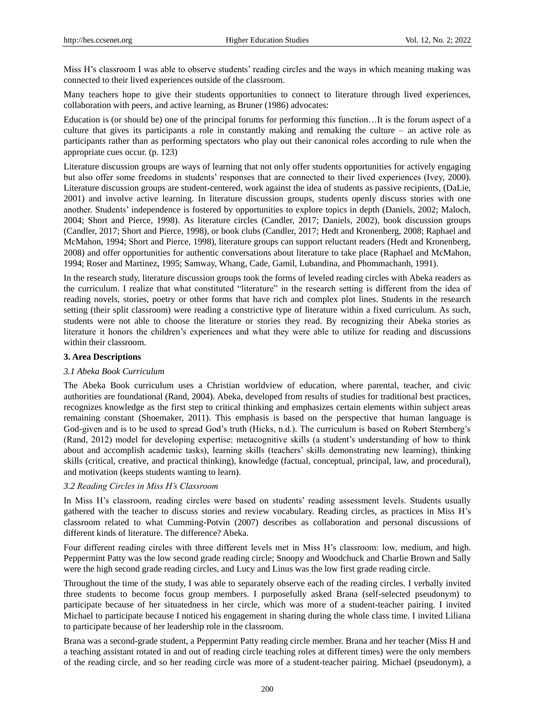Miss H's classroom I was able to observe students' reading circles and the ways in which meaning making was connected to their lived experiences outside of the classroom.

Many teachers hope to give their students opportunities to connect to literature through lived experiences, collaboration with peers, and active learning, as Bruner (1986) advocates:

Education is (or should be) one of the principal forums for performing this function…It is the forum aspect of a culture that gives its participants a role in constantly making and remaking the culture – an active role as participants rather than as performing spectators who play out their canonical roles according to rule when the appropriate cues occur. (p. 123)

Literature discussion groups are ways of learning that not only offer students opportunities for actively engaging but also offer some freedoms in students" responses that are connected to their lived experiences (Ivey, 2000). Literature discussion groups are student-centered, work against the idea of students as passive recipients, (DaLie, 2001) and involve active learning. In literature discussion groups, students openly discuss stories with one another. Students" independence is fostered by opportunities to explore topics in depth (Daniels, 2002; Maloch, 2004; Short and Pierce, 1998). As literature circles (Candler, 2017; Daniels, 2002), book discussion groups (Candler, 2017; Short and Pierce, 1998), or book clubs (Candler, 2017; Hedt and Kronenberg, 2008; Raphael and McMahon, 1994; Short and Pierce, 1998), literature groups can support reluctant readers (Hedt and Kronenberg, 2008) and offer opportunities for authentic conversations about literature to take place (Raphael and McMahon, 1994; Roser and Martinez, 1995; Samway, Whang, Cade, Gamil, Lubandina, and Phommachanh, 1991).

In the research study, literature discussion groups took the forms of leveled reading circles with Abeka readers as the curriculum. I realize that what constituted "literature" in the research setting is different from the idea of reading novels, stories, poetry or other forms that have rich and complex plot lines. Students in the research setting (their split classroom) were reading a constrictive type of literature within a fixed curriculum. As such, students were not able to choose the literature or stories they read. By recognizing their Abeka stories as literature it honors the children"s experiences and what they were able to utilize for reading and discussions within their classroom.

#### **3. Area Descriptions**

#### *3.1 Abeka Book Curriculum*

The Abeka Book curriculum uses a Christian worldview of education, where parental, teacher, and civic authorities are foundational (Rand, 2004). Abeka, developed from results of studies for traditional best practices, recognizes knowledge as the first step to critical thinking and emphasizes certain elements within subject areas remaining constant (Shoemaker, 2011). This emphasis is based on the perspective that human language is God-given and is to be used to spread God's truth (Hicks, n.d.). The curriculum is based on Robert Sternberg's (Rand, 2012) model for developing expertise: metacognitive skills (a student"s understanding of how to think about and accomplish academic tasks), learning skills (teachers" skills demonstrating new learning), thinking skills (critical, creative, and practical thinking), knowledge (factual, conceptual, principal, law, and procedural), and motivation (keeps students wanting to learn).

#### *3.2 Reading Circles in Miss H's Classroom*

In Miss H's classroom, reading circles were based on students' reading assessment levels. Students usually gathered with the teacher to discuss stories and review vocabulary. Reading circles, as practices in Miss H"s classroom related to what Cumming-Potvin (2007) describes as collaboration and personal discussions of different kinds of literature. The difference? Abeka.

Four different reading circles with three different levels met in Miss H"s classroom: low, medium, and high. Peppermint Patty was the low second grade reading circle; Snoopy and Woodchuck and Charlie Brown and Sally were the high second grade reading circles, and Lucy and Linus was the low first grade reading circle.

Throughout the time of the study, I was able to separately observe each of the reading circles. I verbally invited three students to become focus group members. I purposefully asked Brana (self-selected pseudonym) to participate because of her situatedness in her circle, which was more of a student-teacher pairing. I invited Michael to participate because I noticed his engagement in sharing during the whole class time. I invited Liliana to participate because of her leadership role in the classroom.

Brana was a second-grade student, a Peppermint Patty reading circle member. Brana and her teacher (Miss H and a teaching assistant rotated in and out of reading circle teaching roles at different times) were the only members of the reading circle, and so her reading circle was more of a student-teacher pairing. Michael (pseudonym), a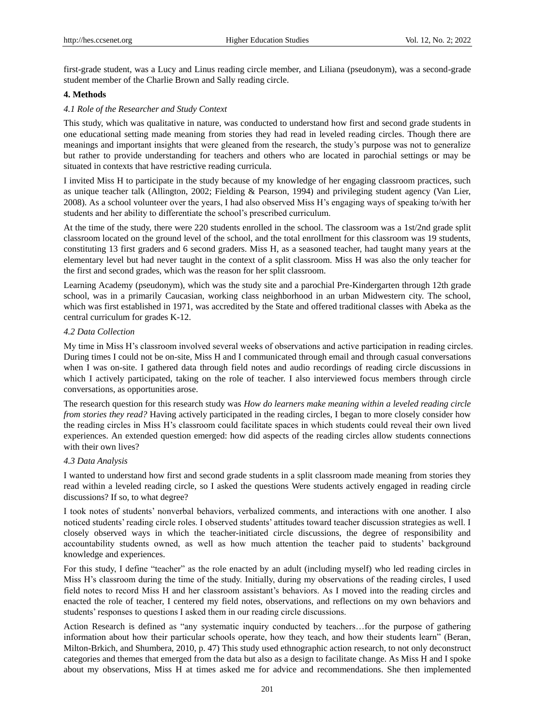first-grade student, was a Lucy and Linus reading circle member, and Liliana (pseudonym), was a second-grade student member of the Charlie Brown and Sally reading circle.

# **4. Methods**

### *4.1 Role of the Researcher and Study Context*

This study, which was qualitative in nature, was conducted to understand how first and second grade students in one educational setting made meaning from stories they had read in leveled reading circles. Though there are meanings and important insights that were gleaned from the research, the study"s purpose was not to generalize but rather to provide understanding for teachers and others who are located in parochial settings or may be situated in contexts that have restrictive reading curricula.

I invited Miss H to participate in the study because of my knowledge of her engaging classroom practices, such as unique teacher talk (Allington, 2002; Fielding & Pearson, 1994) and privileging student agency (Van Lier, 2008). As a school volunteer over the years, I had also observed Miss H"s engaging ways of speaking to/with her students and her ability to differentiate the school"s prescribed curriculum.

At the time of the study, there were 220 students enrolled in the school. The classroom was a 1st/2nd grade split classroom located on the ground level of the school, and the total enrollment for this classroom was 19 students, constituting 13 first graders and 6 second graders. Miss H, as a seasoned teacher, had taught many years at the elementary level but had never taught in the context of a split classroom. Miss H was also the only teacher for the first and second grades, which was the reason for her split classroom.

Learning Academy (pseudonym), which was the study site and a parochial Pre-Kindergarten through 12th grade school, was in a primarily Caucasian, working class neighborhood in an urban Midwestern city. The school, which was first established in 1971, was accredited by the State and offered traditional classes with Abeka as the central curriculum for grades K-12.

#### *4.2 Data Collection*

My time in Miss H"s classroom involved several weeks of observations and active participation in reading circles. During times I could not be on-site, Miss H and I communicated through email and through casual conversations when I was on-site. I gathered data through field notes and audio recordings of reading circle discussions in which I actively participated, taking on the role of teacher. I also interviewed focus members through circle conversations, as opportunities arose.

The research question for this research study was *How do learners make meaning within a leveled reading circle from stories they read?* Having actively participated in the reading circles, I began to more closely consider how the reading circles in Miss H"s classroom could facilitate spaces in which students could reveal their own lived experiences. An extended question emerged: how did aspects of the reading circles allow students connections with their own lives?

#### *4.3 Data Analysis*

I wanted to understand how first and second grade students in a split classroom made meaning from stories they read within a leveled reading circle, so I asked the questions Were students actively engaged in reading circle discussions? If so, to what degree?

I took notes of students" nonverbal behaviors, verbalized comments, and interactions with one another. I also noticed students" reading circle roles. I observed students" attitudes toward teacher discussion strategies as well. I closely observed ways in which the teacher-initiated circle discussions, the degree of responsibility and accountability students owned, as well as how much attention the teacher paid to students" background knowledge and experiences.

For this study, I define "teacher" as the role enacted by an adult (including myself) who led reading circles in Miss H"s classroom during the time of the study. Initially, during my observations of the reading circles, I used field notes to record Miss H and her classroom assistant's behaviors. As I moved into the reading circles and enacted the role of teacher, I centered my field notes, observations, and reflections on my own behaviors and students' responses to questions I asked them in our reading circle discussions.

Action Research is defined as "any systematic inquiry conducted by teachers…for the purpose of gathering information about how their particular schools operate, how they teach, and how their students learn" (Beran, Milton-Brkich, and Shumbera, 2010, p. 47) This study used ethnographic action research, to not only deconstruct categories and themes that emerged from the data but also as a design to facilitate change. As Miss H and I spoke about my observations, Miss H at times asked me for advice and recommendations. She then implemented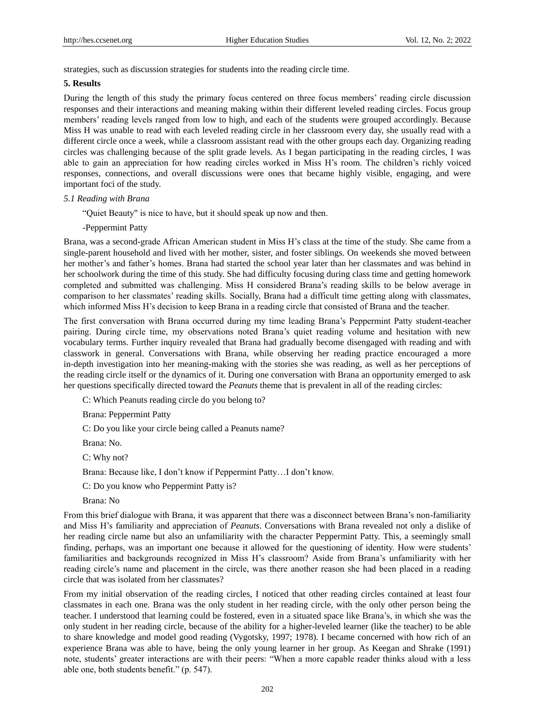strategies, such as discussion strategies for students into the reading circle time.

### **5. Results**

During the length of this study the primary focus centered on three focus members" reading circle discussion responses and their interactions and meaning making within their different leveled reading circles. Focus group members' reading levels ranged from low to high, and each of the students were grouped accordingly. Because Miss H was unable to read with each leveled reading circle in her classroom every day, she usually read with a different circle once a week, while a classroom assistant read with the other groups each day. Organizing reading circles was challenging because of the split grade levels. As I began participating in the reading circles, I was able to gain an appreciation for how reading circles worked in Miss H"s room. The children"s richly voiced responses, connections, and overall discussions were ones that became highly visible, engaging, and were important foci of the study.

#### *5.1 Reading with Brana*

"Quiet Beauty" is nice to have, but it should speak up now and then.

#### -Peppermint Patty

Brana, was a second-grade African American student in Miss H"s class at the time of the study. She came from a single-parent household and lived with her mother, sister, and foster siblings. On weekends she moved between her mother"s and father"s homes. Brana had started the school year later than her classmates and was behind in her schoolwork during the time of this study. She had difficulty focusing during class time and getting homework completed and submitted was challenging. Miss H considered Brana"s reading skills to be below average in comparison to her classmates" reading skills. Socially, Brana had a difficult time getting along with classmates, which informed Miss H's decision to keep Brana in a reading circle that consisted of Brana and the teacher.

The first conversation with Brana occurred during my time leading Brana"s Peppermint Patty student-teacher pairing. During circle time, my observations noted Brana"s quiet reading volume and hesitation with new vocabulary terms. Further inquiry revealed that Brana had gradually become disengaged with reading and with classwork in general. Conversations with Brana, while observing her reading practice encouraged a more in-depth investigation into her meaning-making with the stories she was reading, as well as her perceptions of the reading circle itself or the dynamics of it. During one conversation with Brana an opportunity emerged to ask her questions specifically directed toward the *Peanuts* theme that is prevalent in all of the reading circles:

C: Which Peanuts reading circle do you belong to?

Brana: Peppermint Patty

C: Do you like your circle being called a Peanuts name?

Brana: No.

C: Why not?

Brana: Because like, I don"t know if Peppermint Patty…I don"t know.

C: Do you know who Peppermint Patty is?

Brana: No

From this brief dialogue with Brana, it was apparent that there was a disconnect between Brana"s non-familiarity and Miss H"s familiarity and appreciation of *Peanuts*. Conversations with Brana revealed not only a dislike of her reading circle name but also an unfamiliarity with the character Peppermint Patty. This, a seemingly small finding, perhaps, was an important one because it allowed for the questioning of identity. How were students" familiarities and backgrounds recognized in Miss H"s classroom? Aside from Brana"s unfamiliarity with her reading circle"s name and placement in the circle, was there another reason she had been placed in a reading circle that was isolated from her classmates?

From my initial observation of the reading circles, I noticed that other reading circles contained at least four classmates in each one. Brana was the only student in her reading circle, with the only other person being the teacher. I understood that learning could be fostered, even in a situated space like Brana"s, in which she was the only student in her reading circle, because of the ability for a higher-leveled learner (like the teacher) to be able to share knowledge and model good reading (Vygotsky, 1997; 1978). I became concerned with how rich of an experience Brana was able to have, being the only young learner in her group. As Keegan and Shrake (1991) note, students" greater interactions are with their peers: "When a more capable reader thinks aloud with a less able one, both students benefit." (p. 547).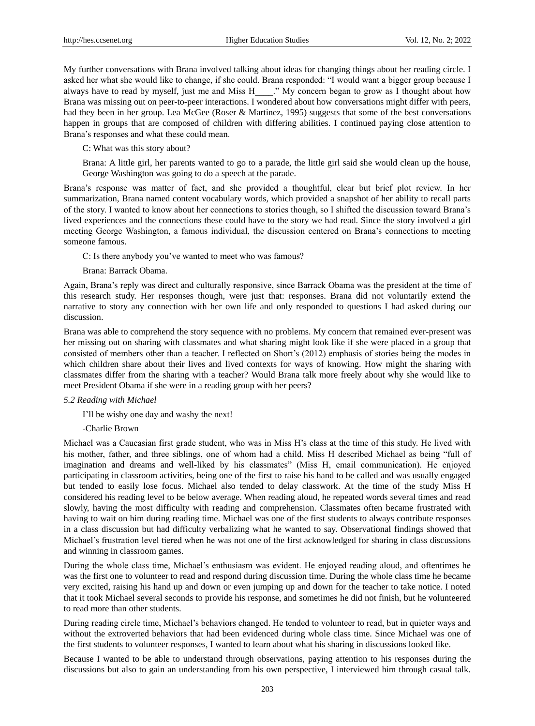My further conversations with Brana involved talking about ideas for changing things about her reading circle. I asked her what she would like to change, if she could. Brana responded: "I would want a bigger group because I always have to read by myself, just me and Miss H\_\_\_\_." My concern began to grow as I thought about how Brana was missing out on peer-to-peer interactions. I wondered about how conversations might differ with peers, had they been in her group. Lea McGee (Roser & Martinez, 1995) suggests that some of the best conversations happen in groups that are composed of children with differing abilities. I continued paying close attention to Brana"s responses and what these could mean.

C: What was this story about?

Brana: A little girl, her parents wanted to go to a parade, the little girl said she would clean up the house, George Washington was going to do a speech at the parade.

Brana"s response was matter of fact, and she provided a thoughtful, clear but brief plot review. In her summarization, Brana named content vocabulary words, which provided a snapshot of her ability to recall parts of the story. I wanted to know about her connections to stories though, so I shifted the discussion toward Brana"s lived experiences and the connections these could have to the story we had read. Since the story involved a girl meeting George Washington, a famous individual, the discussion centered on Brana"s connections to meeting someone famous.

C: Is there anybody you"ve wanted to meet who was famous?

#### Brana: Barrack Obama.

Again, Brana"s reply was direct and culturally responsive, since Barrack Obama was the president at the time of this research study. Her responses though, were just that: responses. Brana did not voluntarily extend the narrative to story any connection with her own life and only responded to questions I had asked during our discussion.

Brana was able to comprehend the story sequence with no problems. My concern that remained ever-present was her missing out on sharing with classmates and what sharing might look like if she were placed in a group that consisted of members other than a teacher. I reflected on Short"s (2012) emphasis of stories being the modes in which children share about their lives and lived contexts for ways of knowing. How might the sharing with classmates differ from the sharing with a teacher? Would Brana talk more freely about why she would like to meet President Obama if she were in a reading group with her peers?

# *5.2 Reading with Michael*

I"ll be wishy one day and washy the next!

-Charlie Brown

Michael was a Caucasian first grade student, who was in Miss H"s class at the time of this study. He lived with his mother, father, and three siblings, one of whom had a child. Miss H described Michael as being "full of imagination and dreams and well-liked by his classmates" (Miss H, email communication). He enjoyed participating in classroom activities, being one of the first to raise his hand to be called and was usually engaged but tended to easily lose focus. Michael also tended to delay classwork. At the time of the study Miss H considered his reading level to be below average. When reading aloud, he repeated words several times and read slowly, having the most difficulty with reading and comprehension. Classmates often became frustrated with having to wait on him during reading time. Michael was one of the first students to always contribute responses in a class discussion but had difficulty verbalizing what he wanted to say. Observational findings showed that Michael"s frustration level tiered when he was not one of the first acknowledged for sharing in class discussions and winning in classroom games.

During the whole class time, Michael"s enthusiasm was evident. He enjoyed reading aloud, and oftentimes he was the first one to volunteer to read and respond during discussion time. During the whole class time he became very excited, raising his hand up and down or even jumping up and down for the teacher to take notice. I noted that it took Michael several seconds to provide his response, and sometimes he did not finish, but he volunteered to read more than other students.

During reading circle time, Michael"s behaviors changed. He tended to volunteer to read, but in quieter ways and without the extroverted behaviors that had been evidenced during whole class time. Since Michael was one of the first students to volunteer responses, I wanted to learn about what his sharing in discussions looked like.

Because I wanted to be able to understand through observations, paying attention to his responses during the discussions but also to gain an understanding from his own perspective, I interviewed him through casual talk.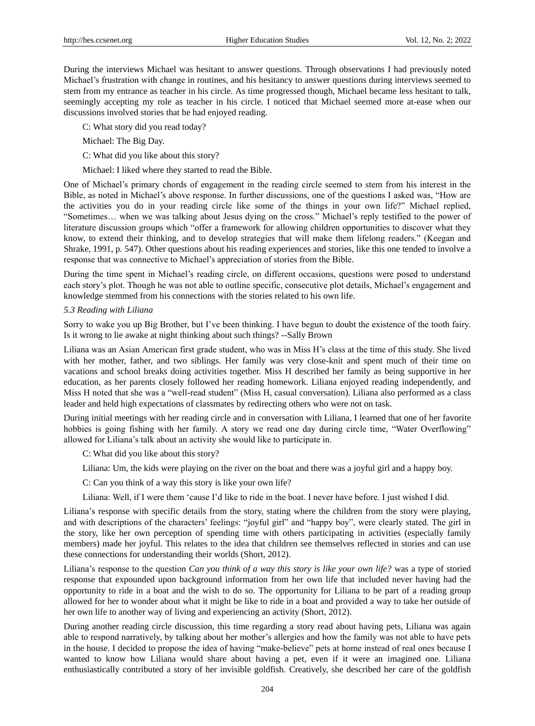During the interviews Michael was hesitant to answer questions. Through observations I had previously noted Michael"s frustration with change in routines, and his hesitancy to answer questions during interviews seemed to stem from my entrance as teacher in his circle. As time progressed though, Michael became less hesitant to talk, seemingly accepting my role as teacher in his circle. I noticed that Michael seemed more at-ease when our discussions involved stories that he had enjoyed reading.

C: What story did you read today?

Michael: The Big Day.

C: What did you like about this story?

Michael: I liked where they started to read the Bible.

One of Michael"s primary chords of engagement in the reading circle seemed to stem from his interest in the Bible, as noted in Michael's above response. In further discussions, one of the questions I asked was, "How are the activities you do in your reading circle like some of the things in your own life?" Michael replied, "Sometimes… when we was talking about Jesus dying on the cross." Michael"s reply testified to the power of literature discussion groups which "offer a framework for allowing children opportunities to discover what they know, to extend their thinking, and to develop strategies that will make them lifelong readers." (Keegan and Shrake, 1991, p. 547). Other questions about his reading experiences and stories, like this one tended to involve a response that was connective to Michael"s appreciation of stories from the Bible.

During the time spent in Michael"s reading circle, on different occasions, questions were posed to understand each story"s plot. Though he was not able to outline specific, consecutive plot details, Michael"s engagement and knowledge stemmed from his connections with the stories related to his own life.

#### *5.3 Reading with Liliana*

Sorry to wake you up Big Brother, but I"ve been thinking. I have begun to doubt the existence of the tooth fairy. Is it wrong to lie awake at night thinking about such things? --Sally Brown

Liliana was an Asian American first grade student, who was in Miss H"s class at the time of this study. She lived with her mother, father, and two siblings. Her family was very close-knit and spent much of their time on vacations and school breaks doing activities together. Miss H described her family as being supportive in her education, as her parents closely followed her reading homework. Liliana enjoyed reading independently, and Miss H noted that she was a "well-read student" (Miss H, casual conversation). Liliana also performed as a class leader and held high expectations of classmates by redirecting others who were not on task.

During initial meetings with her reading circle and in conversation with Liliana, I learned that one of her favorite hobbies is going fishing with her family. A story we read one day during circle time, "Water Overflowing" allowed for Liliana"s talk about an activity she would like to participate in.

C: What did you like about this story?

Liliana: Um, the kids were playing on the river on the boat and there was a joyful girl and a happy boy.

C: Can you think of a way this story is like your own life?

Liliana: Well, if I were them "cause I"d like to ride in the boat. I never have before. I just wished I did.

Liliana"s response with specific details from the story, stating where the children from the story were playing, and with descriptions of the characters" feelings: "joyful girl" and "happy boy", were clearly stated. The girl in the story, like her own perception of spending time with others participating in activities (especially family members) made her joyful. This relates to the idea that children see themselves reflected in stories and can use these connections for understanding their worlds (Short, 2012).

Liliana"s response to the question *Can you think of a way this story is like your own life?* was a type of storied response that expounded upon background information from her own life that included never having had the opportunity to ride in a boat and the wish to do so. The opportunity for Liliana to be part of a reading group allowed for her to wonder about what it might be like to ride in a boat and provided a way to take her outside of her own life to another way of living and experiencing an activity (Short, 2012).

During another reading circle discussion, this time regarding a story read about having pets, Liliana was again able to respond narratively, by talking about her mother"s allergies and how the family was not able to have pets in the house. I decided to propose the idea of having "make-believe" pets at home instead of real ones because I wanted to know how Liliana would share about having a pet, even if it were an imagined one. Liliana enthusiastically contributed a story of her invisible goldfish. Creatively, she described her care of the goldfish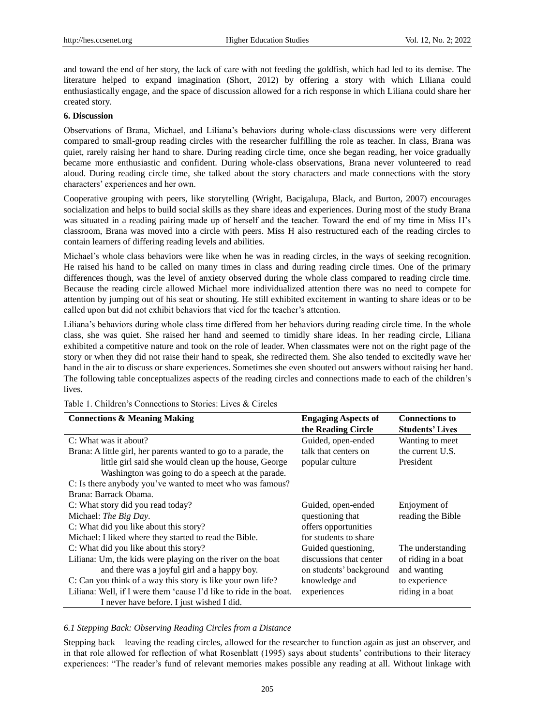and toward the end of her story, the lack of care with not feeding the goldfish, which had led to its demise. The literature helped to expand imagination (Short, 2012) by offering a story with which Liliana could enthusiastically engage, and the space of discussion allowed for a rich response in which Liliana could share her created story.

#### **6. Discussion**

Observations of Brana, Michael, and Liliana"s behaviors during whole-class discussions were very different compared to small-group reading circles with the researcher fulfilling the role as teacher. In class, Brana was quiet, rarely raising her hand to share. During reading circle time, once she began reading, her voice gradually became more enthusiastic and confident. During whole-class observations, Brana never volunteered to read aloud. During reading circle time, she talked about the story characters and made connections with the story characters" experiences and her own.

Cooperative grouping with peers, like storytelling (Wright, Bacigalupa, Black, and Burton, 2007) encourages socialization and helps to build social skills as they share ideas and experiences. During most of the study Brana was situated in a reading pairing made up of herself and the teacher. Toward the end of my time in Miss H"s classroom, Brana was moved into a circle with peers. Miss H also restructured each of the reading circles to contain learners of differing reading levels and abilities.

Michael"s whole class behaviors were like when he was in reading circles, in the ways of seeking recognition. He raised his hand to be called on many times in class and during reading circle times. One of the primary differences though, was the level of anxiety observed during the whole class compared to reading circle time. Because the reading circle allowed Michael more individualized attention there was no need to compete for attention by jumping out of his seat or shouting. He still exhibited excitement in wanting to share ideas or to be called upon but did not exhibit behaviors that vied for the teacher's attention.

Liliana"s behaviors during whole class time differed from her behaviors during reading circle time. In the whole class, she was quiet. She raised her hand and seemed to timidly share ideas. In her reading circle, Liliana exhibited a competitive nature and took on the role of leader. When classmates were not on the right page of the story or when they did not raise their hand to speak, she redirected them. She also tended to excitedly wave her hand in the air to discuss or share experiences. Sometimes she even shouted out answers without raising her hand. The following table conceptualizes aspects of the reading circles and connections made to each of the children"s lives.

| <b>Connections &amp; Meaning Making</b>                            | <b>Engaging Aspects of</b> | <b>Connections to</b>  |
|--------------------------------------------------------------------|----------------------------|------------------------|
|                                                                    | the Reading Circle         | <b>Students' Lives</b> |
| C: What was it about?                                              | Guided, open-ended         | Wanting to meet        |
| Brana: A little girl, her parents wanted to go to a parade, the    | talk that centers on       | the current U.S.       |
| little girl said she would clean up the house, George              | popular culture            | President              |
| Washington was going to do a speech at the parade.                 |                            |                        |
| C: Is there anybody you've wanted to meet who was famous?          |                            |                        |
| Brana: Barrack Obama.                                              |                            |                        |
| C: What story did you read today?                                  | Guided, open-ended         | Enjoyment of           |
| Michael: The Big Day.                                              | questioning that           | reading the Bible      |
| C: What did you like about this story?                             | offers opportunities       |                        |
| Michael: I liked where they started to read the Bible.             | for students to share      |                        |
| C: What did you like about this story?                             | Guided questioning,        | The understanding      |
| Liliana: Um, the kids were playing on the river on the boat        | discussions that center    | of riding in a boat    |
| and there was a joyful girl and a happy boy.                       | on students' background    | and wanting            |
| C: Can you think of a way this story is like your own life?        | knowledge and              | to experience          |
| Liliana: Well, if I were them 'cause I'd like to ride in the boat. | experiences                | riding in a boat       |
| I never have before. I just wished I did.                          |                            |                        |

Table 1. Children"s Connections to Stories: Lives & Circles

# *6.1 Stepping Back: Observing Reading Circles from a Distance*

Stepping back – leaving the reading circles, allowed for the researcher to function again as just an observer, and in that role allowed for reflection of what Rosenblatt (1995) says about students" contributions to their literacy experiences: "The reader"s fund of relevant memories makes possible any reading at all. Without linkage with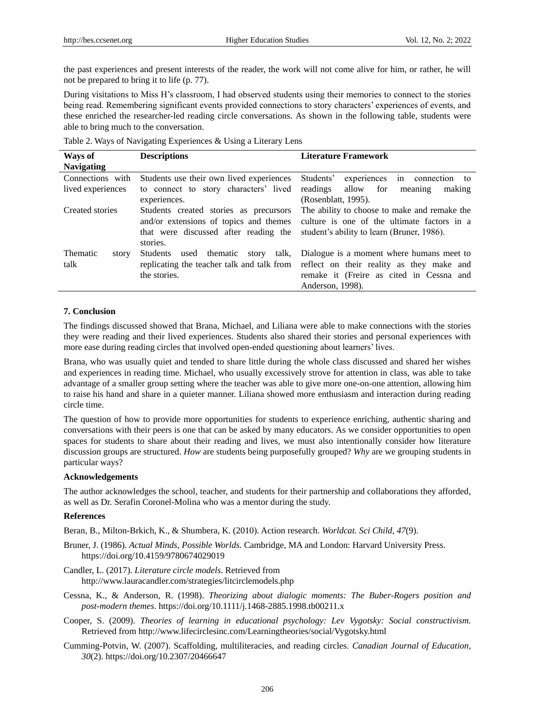the past experiences and present interests of the reader, the work will not come alive for him, or rather, he will not be prepared to bring it to life (p. 77).

During visitations to Miss H"s classroom, I had observed students using their memories to connect to the stories being read. Remembering significant events provided connections to story characters" experiences of events, and these enriched the researcher-led reading circle conversations. As shown in the following table, students were able to bring much to the conversation.

|  |  | Table 2. Ways of Navigating Experiences & Using a Literary Lens |
|--|--|-----------------------------------------------------------------|
|  |  |                                                                 |

| Ways of           | <b>Descriptions</b>                                | <b>Literature Framework</b>                                                          |
|-------------------|----------------------------------------------------|--------------------------------------------------------------------------------------|
| <b>Navigating</b> |                                                    |                                                                                      |
| Connections with  | Students use their own lived experiences           | Students'<br>experiences in connection to                                            |
| lived experiences | to connect to story characters' lived              | readings allow for<br>making<br>meaning                                              |
|                   | experiences.                                       | (Rosenblatt, 1995).                                                                  |
| Created stories   | Students created stories as precursors             | The ability to choose to make and remake the                                         |
|                   |                                                    | and/or extensions of topics and themes culture is one of the ultimate factors in a   |
|                   | that were discussed after reading the              | student's ability to learn (Bruner, 1986).                                           |
|                   | stories.                                           |                                                                                      |
| Thematic<br>story | story talk,<br>thematic<br>used<br><b>Students</b> | Dialogue is a moment where humans meet to                                            |
| talk              |                                                    | replicating the teacher talk and talk from reflect on their reality as they make and |
|                   | the stories.                                       | remake it (Freire as cited in Cessna and                                             |
|                   |                                                    | Anderson, 1998).                                                                     |

#### **7. Conclusion**

The findings discussed showed that Brana, Michael, and Liliana were able to make connections with the stories they were reading and their lived experiences. Students also shared their stories and personal experiences with more ease during reading circles that involved open-ended questioning about learners" lives.

Brana, who was usually quiet and tended to share little during the whole class discussed and shared her wishes and experiences in reading time. Michael, who usually excessively strove for attention in class, was able to take advantage of a smaller group setting where the teacher was able to give more one-on-one attention, allowing him to raise his hand and share in a quieter manner. Liliana showed more enthusiasm and interaction during reading circle time.

The question of how to provide more opportunities for students to experience enriching, authentic sharing and conversations with their peers is one that can be asked by many educators. As we consider opportunities to open spaces for students to share about their reading and lives, we must also intentionally consider how literature discussion groups are structured. *How* are students being purposefully grouped? *Why* are we grouping students in particular ways?

#### **Acknowledgements**

The author acknowledges the school, teacher, and students for their partnership and collaborations they afforded, as well as Dr. Serafin Coronel-Molina who was a mentor during the study.

#### **References**

Beran, B., Milton-Brkich, K., & Shumbera, K. (2010). Action research. *Worldcat. Sci Child, 47*(9).

- Bruner, J. (1986). *Actual Minds, Possible Worlds*. Cambridge, MA and London: Harvard University Press. https://doi.org/10.4159/9780674029019
- Candler, L. (2017). *Literature circle models*. Retrieved from http://www.lauracandler.com/strategies/litcirclemodels.php
- Cessna, K., & Anderson, R. (1998). *Theorizing about dialogic moments: The Buber-Rogers position and post-modern themes*. https://doi.org/10.1111/j.1468-2885.1998.tb00211.x
- Cooper, S. (2009). *Theories of learning in educational psychology: Lev Vygotsky: Social constructivism.*  Retrieved from http://www.lifecirclesinc.com/Learningtheories/social/Vygotsky.html
- Cumming-Potvin, W. (2007). Scaffolding, multiliteracies, and reading circles. *Canadian Journal of Education, 30*(2). https://doi.org/10.2307/20466647